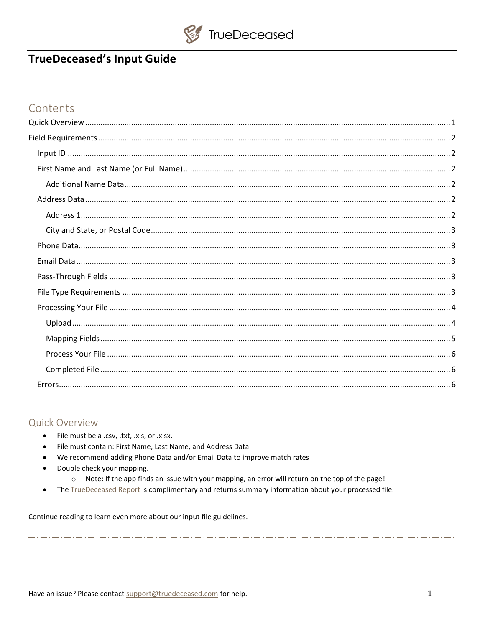

# **TrueDeceased's Input Guide**

# Contents

# <span id="page-0-0"></span>**Quick Overview**

 $\bullet$ 

- File must be a .csv, .txt, .xls, or .xlsx.  $\bullet$
- File must contain: First Name, Last Name, and Address Data  $\bullet$
- We recommend adding Phone Data and/or Email Data to improve match rates
- Double check your mapping.  $\bullet$ 
	- o Note: If the app finds an issue with your mapping, an error will return on the top of the page!

والمتاريب والمراجع والمراجع والمراجع والمراجع والمراجع والمراجع والمراجع والمراجع وللدراجع وللدراجع وللدراجع والمراجع

The TrueDeceased Report is complimentary and returns summary information about your processed file.

Continue reading to learn even more about our input file guidelines.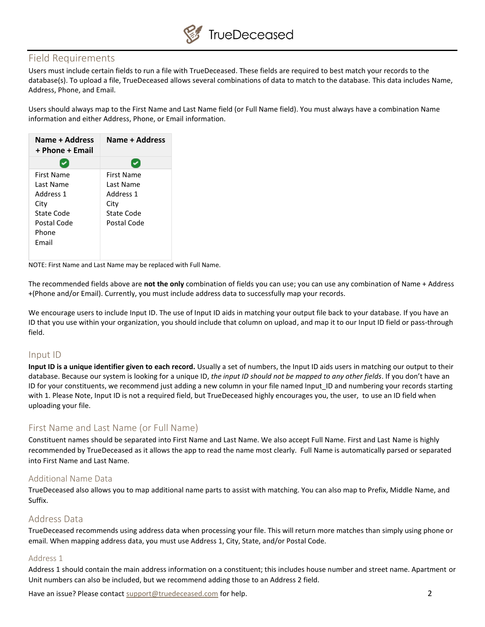

# <span id="page-1-0"></span>Field Requirements

Users must include certain fields to run a file with TrueDeceased. These fields are required to best match your records to the database(s). To upload a file, TrueDeceased allows several combinations of data to match to the database. This data includes Name, Address, Phone, and Email.

Users should always map to the First Name and Last Name field (or Full Name field). You must always have a combination Name information and either Address, Phone, or Email information.

| Name + Address<br>+ Phone + Email | Name + Address |
|-----------------------------------|----------------|
|                                   |                |
| First Name                        | First Name     |
| Last Name                         | Last Name      |
| Address 1                         | Address 1      |
| City                              | City           |
| State Code                        | State Code     |
| Postal Code                       | Postal Code    |
| Phone                             |                |
| Fmail                             |                |
|                                   |                |

NOTE: First Name and Last Name may be replaced with Full Name.

The recommended fields above are **not the only** combination of fields you can use; you can use any combination of Name + Address +(Phone and/or Email). Currently, you must include address data to successfully map your records.

We encourage users to include Input ID. The use of Input ID aids in matching your output file back to your database. If you have an ID that you use within your organization, you should include that column on upload, and map it to our Input ID field or pass-through field.

#### <span id="page-1-1"></span>Input ID

**Input ID is a unique identifier given to each record.** Usually a set of numbers, the Input ID aids users in matching our output to their database. Because our system is looking for a unique ID, *the input ID should not be mapped to any other fields*. If you don't have an ID for your constituents, we recommend just adding a new column in your file named Input\_ID and numbering your records starting with 1. Please Note, Input ID is not a required field, but TrueDeceased highly encourages you, the user, to use an ID field when uploading your file.

# <span id="page-1-2"></span>First Name and Last Name (or Full Name)

Constituent names should be separated into First Name and Last Name. We also accept Full Name. First and Last Name is highly recommended by TrueDeceased as it allows the app to read the name most clearly. Full Name is automatically parsed or separated into First Name and Last Name.

## <span id="page-1-3"></span>Additional Name Data

TrueDeceased also allows you to map additional name parts to assist with matching. You can also map to Prefix, Middle Name, and Suffix.

## <span id="page-1-4"></span>Address Data

TrueDeceased recommends using address data when processing your file. This will return more matches than simply using phone or email. When mapping address data, you must use Address 1, City, State, and/or Postal Code.

#### <span id="page-1-5"></span>Address 1

Address 1 should contain the main address information on a constituent; this includes house number and street name. Apartment or Unit numbers can also be included, but we recommend adding those to an Address 2 field.

Have an issue? Please contact [support@truedeceased.com](mailto:support@truedeceased.com) for help. 2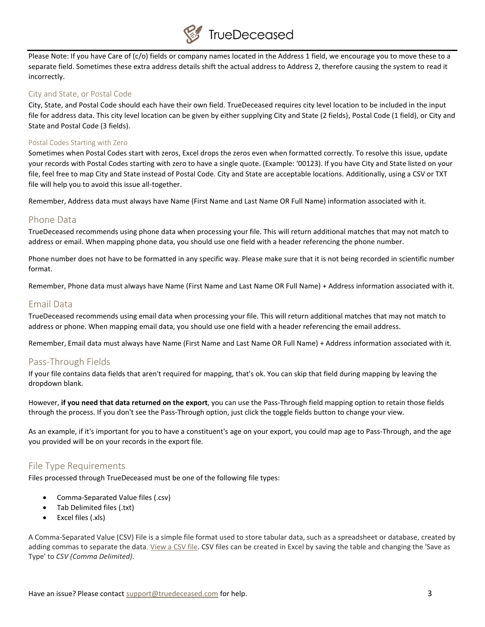

Please Note: If you have Care of (c/o) fields or company names located in the Address 1 field, we encourage you to move these to a separate field. Sometimes these extra address details shift the actual address to Address 2, therefore causing the system to read it incorrectly.

#### <span id="page-2-0"></span>City and State, or Postal Code

City, State, and Postal Code should each have their own field. TrueDeceased requires city level location to be included in the input file for address data. This city level location can be given by either supplying City and State (2 fields), Postal Code (1 field), or City and State and Postal Code (3 fields).

#### Postal Codes Starting with Zero

Sometimes when Postal Codes start with zeros, Excel drops the zeros even when formatted correctly. To resolve this issue, update your records with Postal Codes starting with zero to have a single quote. (Example: '00123). If you have City and State listed on your file, feel free to map City and State instead of Postal Code. City and State are acceptable locations. Additionally, using a CSV or TXT file will help you to avoid this issue all-together.

Remember, Address data must always have Name (First Name and Last Name OR Full Name) information associated with it.

## <span id="page-2-1"></span>Phone Data

TrueDeceased recommends using phone data when processing your file. This will return additional matches that may not match to address or email. When mapping phone data, you should use one field with a header referencing the phone number.

Phone number does not have to be formatted in any specific way. Please make sure that it is not being recorded in scientific number format.

Remember, Phone data must always have Name (First Name and Last Name OR Full Name) + Address information associated with it.

## <span id="page-2-2"></span>Email Data

TrueDeceased recommends using email data when processing your file. This will return additional matches that may not match to address or phone. When mapping email data, you should use one field with a header referencing the email address.

Remember, Email data must always have Name (First Name and Last Name OR Full Name) + Address information associated with it.

# <span id="page-2-3"></span>Pass-Through Fields

If your file contains data fields that aren't required for mapping, that's ok. You can skip that field during mapping by leaving the dropdown blank.

However, **if you need that data returned on the export**, you can use the Pass-Through field mapping option to retain those fields through the process. If you don't see the Pass-Through option, just click the toggle fields button to change your view.

As an example, if it's important for you to have a constituent's age on your export, you could map age to Pass-Through, and the age you provided will be on your records in the export file.

## <span id="page-2-4"></span>File Type Requirements

Files processed through TrueDeceased must be one of the following file types:

- Comma-Separated Value files (.csv)
- Tab Delimited files (.txt)
- Excel files (.xls)

A Comma-Separated Value (CSV) File is a simple file format used to store tabular data, such as a spreadsheet or database, created by adding commas to separate the data. View a [CSV file.](http://truedeceased.com/test-csv-file) CSV files can be created in Excel by saving the table and changing the 'Save as Type' to *CSV (Comma Delimited)*.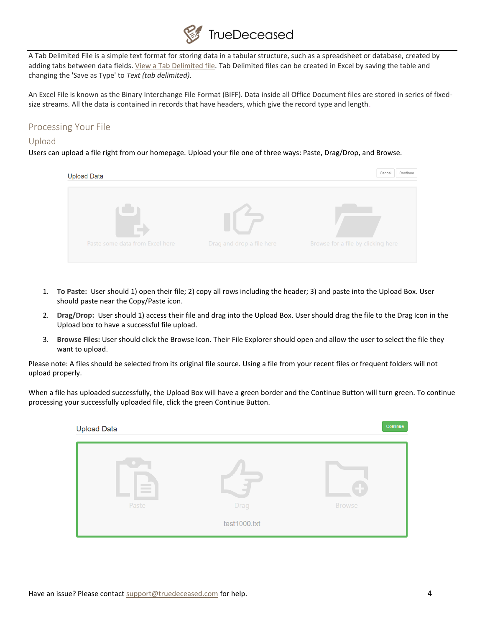

A Tab Delimited File is a simple text format for storing data in a tabular structure, such as a spreadsheet or database, created by adding tabs between data fields. [View a Tab Delimited file.](http://truedeceased.com/test-tab-delimited-file) Tab Delimited files can be created in Excel by saving the table and changing the 'Save as Type' to *Text (tab delimited)*.

An Excel File is known as the Binary Interchange File Format (BIFF). Data inside all Office Document files are stored in series of fixedsize streams. All the data is contained in records that have headers, which give the record type and length.

# <span id="page-3-0"></span>Processing Your File

## <span id="page-3-1"></span>Upload

Users can upload a file right from our homepage. Upload your file one of three ways: Paste, Drag/Drop, and Browse.



- 1. **To Paste:** User should 1) open their file; 2) copy all rows including the header; 3) and paste into the Upload Box. User should paste near the Copy/Paste icon.
- 2. **Drag/Drop:** User should 1) access their file and drag into the Upload Box. User should drag the file to the Drag Icon in the Upload box to have a successful file upload.
- 3. **Browse Files:** User should click the Browse Icon. Their File Explorer should open and allow the user to select the file they want to upload.

Please note: A files should be selected from its original file source. Using a file from your recent files or frequent folders will not upload properly.

When a file has uploaded successfully, the Upload Box will have a green border and the Continue Button will turn green. To continue processing your successfully uploaded file, click the green Continue Button.

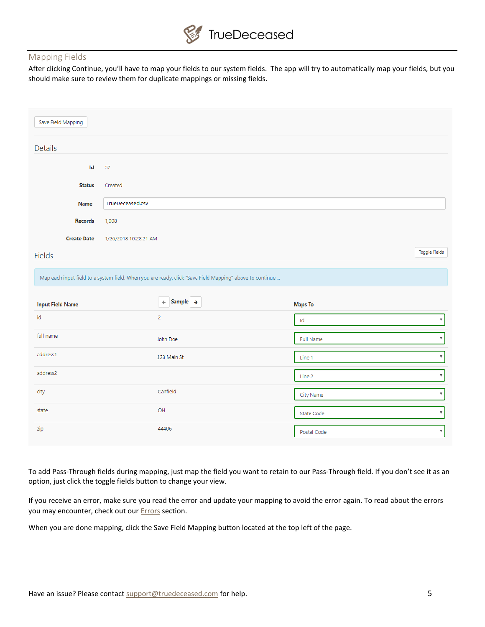#### <span id="page-4-0"></span>Mapping Fields

After clicking Continue, you'll have to map your fields to our system fields. The app will try to automatically map your fields, but you should make sure to review them for duplicate mappings or missing fields.

| Save Field Mapping      |                                                                                                          |                  |                           |
|-------------------------|----------------------------------------------------------------------------------------------------------|------------------|---------------------------|
| <b>Details</b>          |                                                                                                          |                  |                           |
| Id                      | 57                                                                                                       |                  |                           |
| <b>Status</b>           | Created                                                                                                  |                  |                           |
| <b>Name</b>             | TrueDeceased.csv                                                                                         |                  |                           |
| <b>Records</b>          | 1,008                                                                                                    |                  |                           |
| <b>Create Date</b>      | 1/26/2018 10:28:21 AM                                                                                    |                  |                           |
| Fields                  |                                                                                                          |                  | Toggle Fields             |
|                         | Map each input field to a system field. When you are ready, click "Save Field Mapping" above to continue |                  |                           |
| <b>Input Field Name</b> | Sample $\rightarrow$<br>$\leftarrow$                                                                     | <b>Maps To</b>   |                           |
| id                      | $\overline{2}$                                                                                           | Id               | $\boldsymbol{\mathrm{v}}$ |
| full name               | John Doe                                                                                                 | <b>Full Name</b> | $\boldsymbol{\mathrm{v}}$ |
| address1                | 123 Main St                                                                                              | Line 1           | $\boldsymbol{\mathrm{v}}$ |
| address2                |                                                                                                          | Line 2           | $\overline{\mathbf{v}}$   |
| city                    | Canfield                                                                                                 | City Name        | $\boldsymbol{\mathrm{v}}$ |
| state                   | OH                                                                                                       | State Code       | $\boldsymbol{\mathrm{v}}$ |
| zip                     | 44406                                                                                                    | Postal Code      | $\boldsymbol{\mathrm{v}}$ |

To add Pass-Through fields during mapping, just map the field you want to retain to our Pass-Through field. If you don't see it as an option, just click the toggle fields button to change your view.

If you receive an error, make sure you read the error and update your mapping to avoid the error again. To read about the errors you may encounter, check out our **Errors** section.

When you are done mapping, click the Save Field Mapping button located at the top left of the page.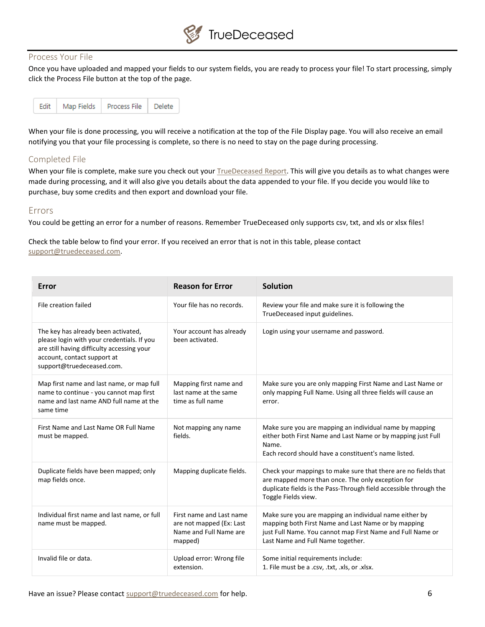

#### <span id="page-5-0"></span>Process Your File

Once you have uploaded and mapped your fields to our system fields, you are ready to process your file! To start processing, simply click the Process File button at the top of the page.

|  |  | Edit   Map Fields   Process File   Delete |  |
|--|--|-------------------------------------------|--|
|--|--|-------------------------------------------|--|

When your file is done processing, you will receive a notification at the top of the File Display page. You will also receive an email notifying you that your file processing is complete, so there is no need to stay on the page during processing.

#### <span id="page-5-1"></span>Completed File

When your file is complete, make sure you check out your [TrueDeceased](http://truedeceased.com/sample-report) Report. This will give you details as to what changes were made during processing, and it will also give you details about the data appended to your file. If you decide you would like to purchase, buy some credits and then export and download your file.

#### <span id="page-5-2"></span>Errors

You could be getting an error for a number of reasons. Remember TrueDeceased only supports csv, txt, and xls or xlsx files!

Check the table below to find your error. If you received an error that is not in this table, please contact [support@truedeceased.com.](mailto:support@truedeceased.com)

| Error                                                                                                                                                                                       | <b>Reason for Error</b>                                                                   | <b>Solution</b>                                                                                                                                                                                                  |
|---------------------------------------------------------------------------------------------------------------------------------------------------------------------------------------------|-------------------------------------------------------------------------------------------|------------------------------------------------------------------------------------------------------------------------------------------------------------------------------------------------------------------|
| File creation failed                                                                                                                                                                        | Your file has no records.                                                                 | Review your file and make sure it is following the<br>TrueDeceased input guidelines.                                                                                                                             |
| The key has already been activated,<br>please login with your credentials. If you<br>are still having difficulty accessing your<br>account, contact support at<br>support@truedeceased.com. | Your account has already<br>been activated.                                               | Login using your username and password.                                                                                                                                                                          |
| Map first name and last name, or map full<br>name to continue - you cannot map first<br>name and last name AND full name at the<br>same time                                                | Mapping first name and<br>last name at the same<br>time as full name                      | Make sure you are only mapping First Name and Last Name or<br>only mapping Full Name. Using all three fields will cause an<br>error.                                                                             |
| First Name and Last Name OR Full Name<br>must be mapped.                                                                                                                                    | Not mapping any name<br>fields.                                                           | Make sure you are mapping an individual name by mapping<br>either both First Name and Last Name or by mapping just Full<br>Name.<br>Each record should have a constituent's name listed.                         |
| Duplicate fields have been mapped; only<br>map fields once.                                                                                                                                 | Mapping duplicate fields.                                                                 | Check your mappings to make sure that there are no fields that<br>are mapped more than once. The only exception for<br>duplicate fields is the Pass-Through field accessible through the<br>Toggle Fields view.  |
| Individual first name and last name, or full<br>name must be mapped.                                                                                                                        | First name and Last name<br>are not mapped (Ex: Last<br>Name and Full Name are<br>mapped) | Make sure you are mapping an individual name either by<br>mapping both First Name and Last Name or by mapping<br>just Full Name. You cannot map First Name and Full Name or<br>Last Name and Full Name together. |
| Invalid file or data.                                                                                                                                                                       | Upload error: Wrong file<br>extension.                                                    | Some initial requirements include:<br>1. File must be a .csv, .txt, .xls, or .xlsx.                                                                                                                              |